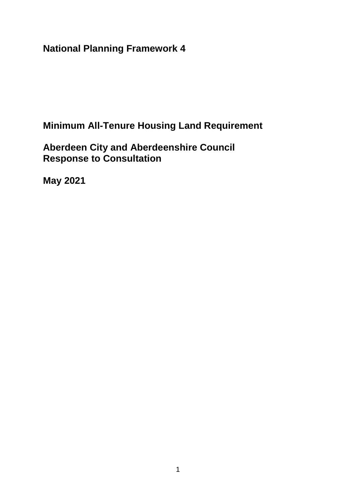**National Planning Framework 4** 

**Minimum All-Tenure Housing Land Requirement** 

**Aberdeen City and Aberdeenshire Council Response to Consultation** 

**May 2021**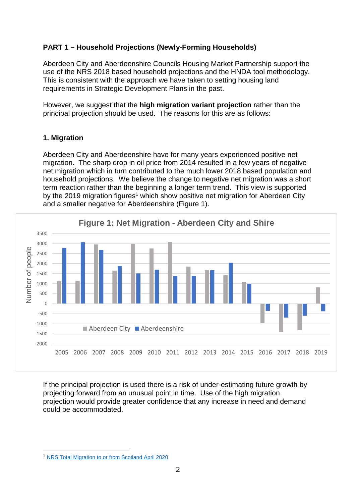# **PART 1 – Household Projections (Newly-Forming Households)**

Aberdeen City and Aberdeenshire Councils Housing Market Partnership support the use of the NRS 2018 based household projections and the HNDA tool methodology. This is consistent with the approach we have taken to setting housing land requirements in Strategic Development Plans in the past.

However, we suggest that the **high migration variant projection** rather than the principal projection should be used. The reasons for this are as follows:

## **1. Migration**

Aberdeen City and Aberdeenshire have for many years experienced positive net migration. The sharp drop in oil price from 2014 resulted in a few years of negative net migration which in turn contributed to the much lower 2018 based population and household projections. We believe the change to negative net migration was a short term reaction rather than the beginning a longer term trend. This view is supported by the 2019 migration figures<sup>1</sup> which show positive net migration for Aberdeen City and a smaller negative for Aberdeenshire (Figure 1).



If the principal projection is used there is a risk of under-estimating future growth by projecting forward from an unusual point in time. Use of the high migration projection would provide greater confidence that any increase in need and demand could be accommodated.

1

<sup>1</sup> [NRS Total Migration to or from Scotland April 2020](https://www.nrscotland.gov.uk/statistics-and-data/statistics/statistics-by-theme/migration/migration-statistics/migration-flows/total-migration-to-or-from-scotland)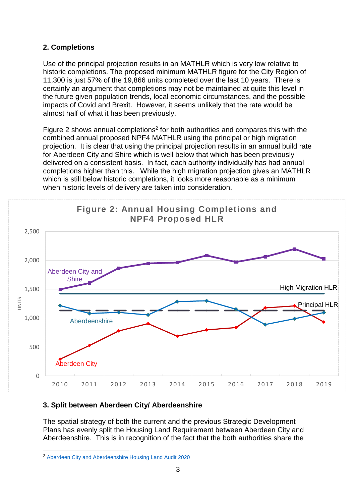## **2. Completions**

Use of the principal projection results in an MATHLR which is very low relative to historic completions. The proposed minimum MATHLR figure for the City Region of 11,300 is just 57% of the 19,866 units completed over the last 10 years. There is certainly an argument that completions may not be maintained at quite this level in the future given population trends, local economic circumstances, and the possible impacts of Covid and Brexit. However, it seems unlikely that the rate would be almost half of what it has been previously.

Figure 2 shows annual completions<sup>2</sup> for both authorities and compares this with the combined annual proposed NPF4 MATHLR using the principal or high migration projection. It is clear that using the principal projection results in an annual build rate for Aberdeen City and Shire which is well below that which has been previously delivered on a consistent basis. In fact, each authority individually has had annual completions higher than this. While the high migration projection gives an MATHLR which is still below historic completions, it looks more reasonable as a minimum when historic levels of delivery are taken into consideration.



## **3. Split between Aberdeen City/ Aberdeenshire**

The spatial strategy of both the current and the previous Strategic Development Plans has evenly split the Housing Land Requirement between Aberdeen City and Aberdeenshire. This is in recognition of the fact that the both authorities share the

1

<sup>2</sup> [Aberdeen City and Aberdeenshire Housing Land Audit 2020](https://www.aberdeenshire.gov.uk/council-and-democracy/statistics/housing-market/#hla)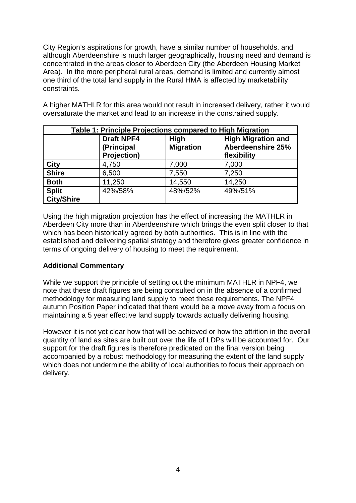City Region's aspirations for growth, have a similar number of households, and although Aberdeenshire is much larger geographically, housing need and demand is concentrated in the areas closer to Aberdeen City (the Aberdeen Housing Market Area). In the more peripheral rural areas, demand is limited and currently almost one third of the total land supply in the Rural HMA is affected by marketability constraints.

A higher MATHLR for this area would not result in increased delivery, rather it would oversaturate the market and lead to an increase in the constrained supply.

| Table 1: Principle Projections compared to High Migration |                                                |                                 |                                                               |
|-----------------------------------------------------------|------------------------------------------------|---------------------------------|---------------------------------------------------------------|
|                                                           | <b>Draft NPF4</b><br>(Principal<br>Projection) | <b>High</b><br><b>Migration</b> | <b>High Migration and</b><br>Aberdeenshire 25%<br>flexibility |
| <b>City</b>                                               | 4,750                                          | 7,000                           | 7,000                                                         |
| <b>Shire</b>                                              | 6,500                                          | 7,550                           | 7,250                                                         |
| <b>Both</b>                                               | 11,250                                         | 14,550                          | 14,250                                                        |
| <b>Split</b><br><b>City/Shire</b>                         | 42%/58%                                        | 48%/52%                         | 49%/51%                                                       |

Using the high migration projection has the effect of increasing the MATHLR in Aberdeen City more than in Aberdeenshire which brings the even split closer to that which has been historically agreed by both authorities. This is in line with the established and delivering spatial strategy and therefore gives greater confidence in terms of ongoing delivery of housing to meet the requirement.

## **Additional Commentary**

While we support the principle of setting out the minimum MATHLR in NPF4, we note that these draft figures are being consulted on in the absence of a confirmed methodology for measuring land supply to meet these requirements. The NPF4 autumn Position Paper indicated that there would be a move away from a focus on maintaining a 5 year effective land supply towards actually delivering housing.

However it is not yet clear how that will be achieved or how the attrition in the overall quantity of land as sites are built out over the life of LDPs will be accounted for. Our support for the draft figures is therefore predicated on the final version being accompanied by a robust methodology for measuring the extent of the land supply which does not undermine the ability of local authorities to focus their approach on delivery.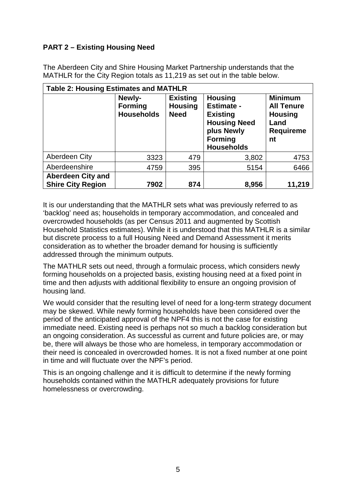# **PART 2 – Existing Housing Need**

The Aberdeen City and Shire Housing Market Partnership understands that the MATHLR for the City Region totals as 11,219 as set out in the table below.

| <b>Table 2: Housing Estimates and MATHLR</b>         |                                               |                                                  |                                                                                                                                    |                                                                                         |
|------------------------------------------------------|-----------------------------------------------|--------------------------------------------------|------------------------------------------------------------------------------------------------------------------------------------|-----------------------------------------------------------------------------------------|
|                                                      | Newly-<br><b>Forming</b><br><b>Households</b> | <b>Existing</b><br><b>Housing</b><br><b>Need</b> | <b>Housing</b><br><b>Estimate -</b><br><b>Existing</b><br><b>Housing Need</b><br>plus Newly<br><b>Forming</b><br><b>Households</b> | <b>Minimum</b><br><b>All Tenure</b><br><b>Housing</b><br>Land<br><b>Requireme</b><br>nt |
| Aberdeen City                                        | 3323                                          | 479                                              | 3,802                                                                                                                              | 4753                                                                                    |
| Aberdeenshire                                        | 4759                                          | 395                                              | 5154                                                                                                                               | 6466                                                                                    |
| <b>Aberdeen City and</b><br><b>Shire City Region</b> | 7902                                          | 874                                              | 8,956                                                                                                                              | 11,219                                                                                  |

It is our understanding that the MATHLR sets what was previously referred to as 'backlog' need as; households in temporary accommodation, and concealed and overcrowded households (as per Census 2011 and augmented by Scottish Household Statistics estimates). While it is understood that this MATHLR is a similar but discrete process to a full Housing Need and Demand Assessment it merits consideration as to whether the broader demand for housing is sufficiently addressed through the minimum outputs.

The MATHLR sets out need, through a formulaic process, which considers newly forming households on a projected basis, existing housing need at a fixed point in time and then adjusts with additional flexibility to ensure an ongoing provision of housing land.

We would consider that the resulting level of need for a long-term strategy document may be skewed. While newly forming households have been considered over the period of the anticipated approval of the NPF4 this is not the case for existing immediate need. Existing need is perhaps not so much a backlog consideration but an ongoing consideration. As successful as current and future policies are, or may be, there will always be those who are homeless, in temporary accommodation or their need is concealed in overcrowded homes. It is not a fixed number at one point in time and will fluctuate over the NPF's period.

This is an ongoing challenge and it is difficult to determine if the newly forming households contained within the MATHLR adequately provisions for future homelessness or overcrowding.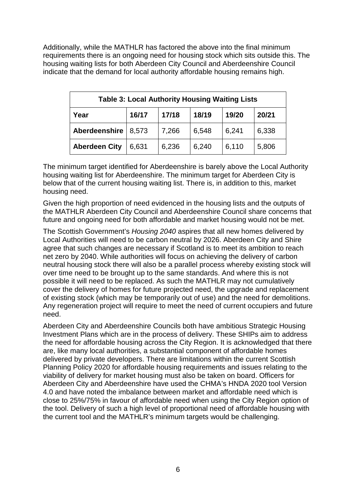Additionally, while the MATHLR has factored the above into the final minimum requirements there is an ongoing need for housing stock which sits outside this. The housing waiting lists for both Aberdeen City Council and Aberdeenshire Council indicate that the demand for local authority affordable housing remains high.

| <b>Table 3: Local Authority Housing Waiting Lists</b> |       |       |       |       |       |
|-------------------------------------------------------|-------|-------|-------|-------|-------|
| Year                                                  | 16/17 | 17/18 | 18/19 | 19/20 | 20/21 |
| Aberdeenshire                                         | 8,573 | 7,266 | 6,548 | 6,241 | 6,338 |
| <b>Aberdeen City</b>                                  | 6,631 | 6,236 | 6,240 | 6,110 | 5,806 |

The minimum target identified for Aberdeenshire is barely above the Local Authority housing waiting list for Aberdeenshire. The minimum target for Aberdeen City is below that of the current housing waiting list. There is, in addition to this, market housing need.

Given the high proportion of need evidenced in the housing lists and the outputs of the MATHLR Aberdeen City Council and Aberdeenshire Council share concerns that future and ongoing need for both affordable and market housing would not be met.

The Scottish Government's *Housing 2040* aspires that all new homes delivered by Local Authorities will need to be carbon neutral by 2026. Aberdeen City and Shire agree that such changes are necessary if Scotland is to meet its ambition to reach net zero by 2040. While authorities will focus on achieving the delivery of carbon neutral housing stock there will also be a parallel process whereby existing stock will over time need to be brought up to the same standards. And where this is not possible it will need to be replaced. As such the MATHLR may not cumulatively cover the delivery of homes for future projected need, the upgrade and replacement of existing stock (which may be temporarily out of use) and the need for demolitions. Any regeneration project will require to meet the need of current occupiers and future need.

Aberdeen City and Aberdeenshire Councils both have ambitious Strategic Housing Investment Plans which are in the process of delivery. These SHIPs aim to address the need for affordable housing across the City Region. It is acknowledged that there are, like many local authorities, a substantial component of affordable homes delivered by private developers. There are limitations within the current Scottish Planning Policy 2020 for affordable housing requirements and issues relating to the viability of delivery for market housing must also be taken on board. Officers for Aberdeen City and Aberdeenshire have used the CHMA's HNDA 2020 tool Version 4.0 and have noted the imbalance between market and affordable need which is close to 25%/75% in favour of affordable need when using the City Region option of the tool. Delivery of such a high level of proportional need of affordable housing with the current tool and the MATHLR's minimum targets would be challenging.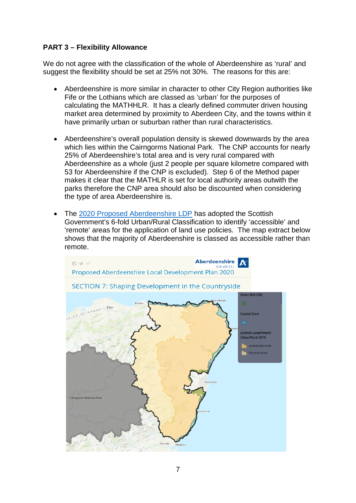## **PART 3 – Flexibility Allowance**

We do not agree with the classification of the whole of Aberdeenshire as 'rural' and suggest the flexibility should be set at 25% not 30%. The reasons for this are:

- Aberdeenshire is more similar in character to other City Region authorities like Fife or the Lothians which are classed as 'urban' for the purposes of calculating the MATHHLR. It has a clearly defined commuter driven housing market area determined by proximity to Aberdeen City, and the towns within it have primarily urban or suburban rather than rural characteristics.
- Aberdeenshire's overall population density is skewed downwards by the area which lies within the Cairngorms National Park. The CNP accounts for nearly 25% of Aberdeenshire's total area and is very rural compared with Aberdeenshire as a whole (just 2 people per square kilometre compared with 53 for Aberdeenshire if the CNP is excluded). Step 6 of the Method paper makes it clear that the MATHLR is set for local authority areas outwith the parks therefore the CNP area should also be discounted when considering the type of area Aberdeenshire is.
- The [2020 Proposed Aberdeenshire LDP](https://abdnshire.maps.arcgis.com/apps/MapJournal/index.html?appid=0b6df3fd06024c798c89138dce7a6a7e) has adopted the Scottish Government's 6-fold Urban/Rural Classification to identify 'accessible' and 'remote' areas for the application of land use policies. The map extract below shows that the majority of Aberdeenshire is classed as accessible rather than remote.

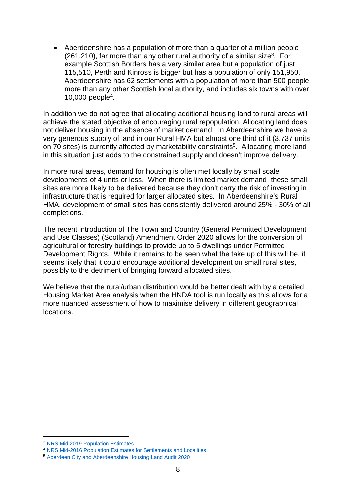Aberdeenshire has a population of more than a quarter of a million people  $(261, 210)$ , far more than any other rural authority of a similar size<sup>3</sup>. For example Scottish Borders has a very similar area but a population of just 115,510, Perth and Kinross is bigger but has a population of only 151,950. Aberdeenshire has 62 settlements with a population of more than 500 people, more than any other Scottish local authority, and includes six towns with over 10,000 people<sup>4</sup> .

In addition we do not agree that allocating additional housing land to rural areas will achieve the stated objective of encouraging rural repopulation. Allocating land does not deliver housing in the absence of market demand. In Aberdeenshire we have a very generous supply of land in our Rural HMA but almost one third of it (3,737 units on 70 sites) is currently affected by marketability constraints<sup>5</sup>. Allocating more land in this situation just adds to the constrained supply and doesn't improve delivery.

In more rural areas, demand for housing is often met locally by small scale developments of 4 units or less. When there is limited market demand, these small sites are more likely to be delivered because they don't carry the risk of investing in infrastructure that is required for larger allocated sites. In Aberdeenshire's Rural HMA, development of small sites has consistently delivered around 25% - 30% of all completions.

The recent introduction of The Town and Country (General Permitted Development and Use Classes) (Scotland) Amendment Order 2020 allows for the conversion of agricultural or forestry buildings to provide up to 5 dwellings under Permitted Development Rights. While it remains to be seen what the take up of this will be, it seems likely that it could encourage additional development on small rural sites, possibly to the detriment of bringing forward allocated sites.

We believe that the rural/urban distribution would be better dealt with by a detailed Housing Market Area analysis when the HNDA tool is run locally as this allows for a more nuanced assessment of how to maximise delivery in different geographical locations.

1

<sup>3</sup> [NRS Mid 2019 Population Estimates](https://www.nrscotland.gov.uk/statistics-and-data/statistics/statistics-by-theme/population/population-estimates/mid-year-population-estimates/mid-2019)

<sup>4</sup> [NRS Mid-2016 Population Estimates for Settlements and Localities](https://www.nrscotland.gov.uk/statistics-and-data/statistics/statistics-by-theme/population/population-estimates/settlements-and-localities/mid-2016-population-estimates-for-settlements-and-localities-in-scotland)

<sup>5</sup> [Aberdeen City and Aberdeenshire Housing Land Audit 2020](https://www.aberdeenshire.gov.uk/council-and-democracy/statistics/housing-market/#hla)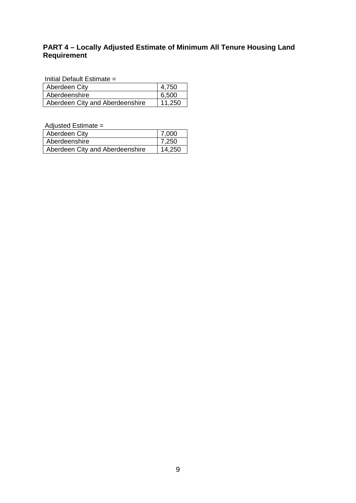# **PART 4 – Locally Adjusted Estimate of Minimum All Tenure Housing Land Requirement**

Initial Default Estimate =

| Aberdeen City                   | 4,750  |
|---------------------------------|--------|
| Aberdeenshire                   | 6,500  |
| Aberdeen City and Aberdeenshire | 11.250 |

Adjusted Estimate =

| Aberdeen City                   | 7,000  |
|---------------------------------|--------|
| Aberdeenshire                   | 7,250  |
| Aberdeen City and Aberdeenshire | 14,250 |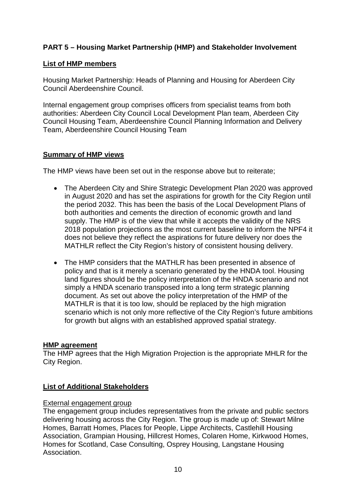## **PART 5 – Housing Market Partnership (HMP) and Stakeholder Involvement**

## **List of HMP members**

Housing Market Partnership: Heads of Planning and Housing for Aberdeen City Council Aberdeenshire Council.

Internal engagement group comprises officers from specialist teams from both authorities: Aberdeen City Council Local Development Plan team, Aberdeen City Council Housing Team, Aberdeenshire Council Planning Information and Delivery Team, Aberdeenshire Council Housing Team

## **Summary of HMP views**

The HMP views have been set out in the response above but to reiterate;

- The Aberdeen City and Shire Strategic Development Plan 2020 was approved in August 2020 and has set the aspirations for growth for the City Region until the period 2032. This has been the basis of the Local Development Plans of both authorities and cements the direction of economic growth and land supply. The HMP is of the view that while it accepts the validity of the NRS 2018 population projections as the most current baseline to inform the NPF4 it does not believe they reflect the aspirations for future delivery nor does the MATHLR reflect the City Region's history of consistent housing delivery.
- The HMP considers that the MATHLR has been presented in absence of policy and that is it merely a scenario generated by the HNDA tool. Housing land figures should be the policy interpretation of the HNDA scenario and not simply a HNDA scenario transposed into a long term strategic planning document. As set out above the policy interpretation of the HMP of the MATHLR is that it is too low, should be replaced by the high migration scenario which is not only more reflective of the City Region's future ambitions for growth but aligns with an established approved spatial strategy.

## **HMP agreement**

The HMP agrees that the High Migration Projection is the appropriate MHLR for the City Region.

## **List of Additional Stakeholders**

## External engagement group

The engagement group includes representatives from the private and public sectors delivering housing across the City Region. The group is made up of: Stewart Milne Homes, Barratt Homes, Places for People, Lippe Architects, Castlehill Housing Association, Grampian Housing, Hillcrest Homes, Colaren Home, Kirkwood Homes, Homes for Scotland, Case Consulting, Osprey Housing, Langstane Housing Association.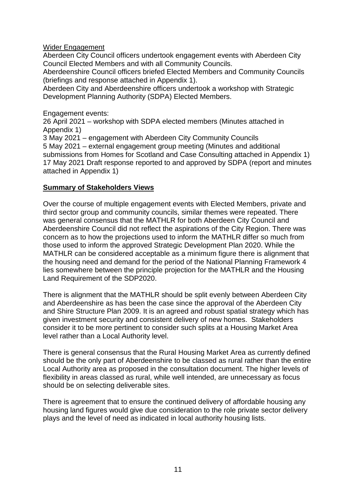## Wider Engagement

Aberdeen City Council officers undertook engagement events with Aberdeen City Council Elected Members and with all Community Councils.

Aberdeenshire Council officers briefed Elected Members and Community Councils (briefings and response attached in Appendix 1).

Aberdeen City and Aberdeenshire officers undertook a workshop with Strategic Development Planning Authority (SDPA) Elected Members.

Engagement events:

26 April 2021 – workshop with SDPA elected members (Minutes attached in Appendix 1)

3 May 2021 – engagement with Aberdeen City Community Councils

5 May 2021 – external engagement group meeting (Minutes and additional submissions from Homes for Scotland and Case Consulting attached in Appendix 1) 17 May 2021 Draft response reported to and approved by SDPA (report and minutes attached in Appendix 1)

## **Summary of Stakeholders Views**

Over the course of multiple engagement events with Elected Members, private and third sector group and community councils, similar themes were repeated. There was general consensus that the MATHLR for both Aberdeen City Council and Aberdeenshire Council did not reflect the aspirations of the City Region. There was concern as to how the projections used to inform the MATHLR differ so much from those used to inform the approved Strategic Development Plan 2020. While the MATHLR can be considered acceptable as a minimum figure there is alignment that the housing need and demand for the period of the National Planning Framework 4 lies somewhere between the principle projection for the MATHLR and the Housing Land Requirement of the SDP2020.

There is alignment that the MATHLR should be split evenly between Aberdeen City and Aberdeenshire as has been the case since the approval of the Aberdeen City and Shire Structure Plan 2009. It is an agreed and robust spatial strategy which has given investment security and consistent delivery of new homes. Stakeholders consider it to be more pertinent to consider such splits at a Housing Market Area level rather than a Local Authority level.

There is general consensus that the Rural Housing Market Area as currently defined should be the only part of Aberdeenshire to be classed as rural rather than the entire Local Authority area as proposed in the consultation document. The higher levels of flexibility in areas classed as rural, while well intended, are unnecessary as focus should be on selecting deliverable sites.

There is agreement that to ensure the continued delivery of affordable housing any housing land figures would give due consideration to the role private sector delivery plays and the level of need as indicated in local authority housing lists.